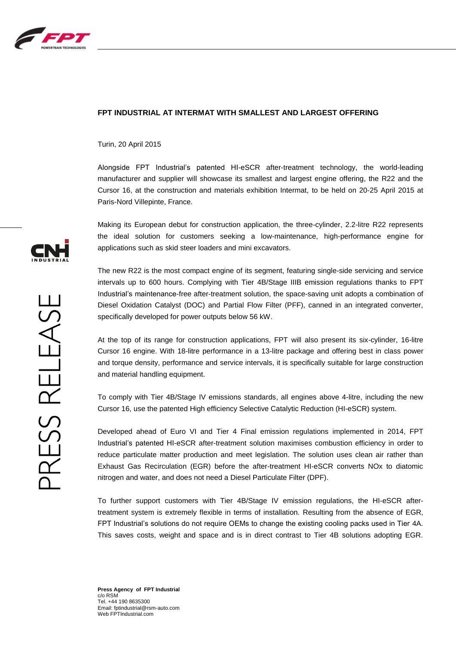

## **FPT INDUSTRIAL AT INTERMAT WITH SMALLEST AND LARGEST OFFERING**

Turin, 20 April 2015

Alongside FPT Industrial's patented HI-eSCR after-treatment technology, the world-leading manufacturer and supplier will showcase its smallest and largest engine offering, the R22 and the Cursor 16, at the construction and materials exhibition Intermat, to be held on 20-25 April 2015 at Paris-Nord Villepinte, France.

Making its European debut for construction application, the three-cylinder, 2.2-litre R22 represents the ideal solution for customers seeking a low-maintenance, high-performance engine for applications such as skid steer loaders and mini excavators.

The new R22 is the most compact engine of its segment, featuring single-side servicing and service intervals up to 600 hours. Complying with Tier 4B/Stage IIIB emission regulations thanks to FPT Industrial's maintenance-free after-treatment solution, the space-saving unit adopts a combination of Diesel Oxidation Catalyst (DOC) and Partial Flow Filter (PFF), canned in an integrated converter, specifically developed for power outputs below 56 kW.

At the top of its range for construction applications, FPT will also present its six-cylinder, 16-litre Cursor 16 engine. With 18-litre performance in a 13-litre package and offering best in class power and torque density, performance and service intervals, it is specifically suitable for large construction and material handling equipment.

To comply with Tier 4B/Stage IV emissions standards, all engines above 4-litre, including the new Cursor 16, use the patented High efficiency Selective Catalytic Reduction (HI-eSCR) system.

Developed ahead of Euro VI and Tier 4 Final emission regulations implemented in 2014, FPT Industrial's patented HI-eSCR after-treatment solution maximises combustion efficiency in order to reduce particulate matter production and meet legislation. The solution uses clean air rather than Exhaust Gas Recirculation (EGR) before the after-treatment HI-eSCR converts NOx to diatomic nitrogen and water, and does not need a Diesel Particulate Filter (DPF).

To further support customers with Tier 4B/Stage IV emission regulations, the HI-eSCR aftertreatment system is extremely flexible in terms of installation. Resulting from the absence of EGR, FPT Industrial's solutions do not require OEMs to change the existing cooling packs used in Tier 4A. This saves costs, weight and space and is in direct contrast to Tier 4B solutions adopting EGR.



**Press Agency of FPT Industrial** c/o RSM Tel. +44 190 8635300 Email: fptindustrial@rsm-auto.com Web FPTIndustrial.com